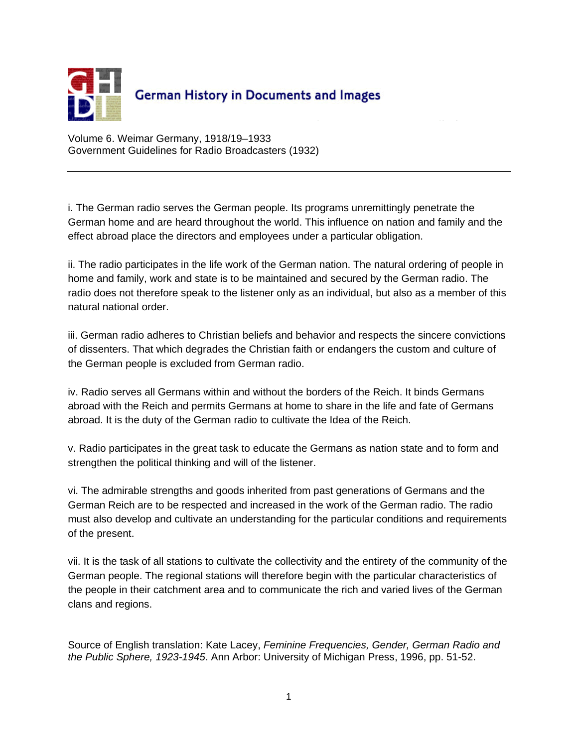

Volume 6. Weimar Germany, 1918/19–1933 Government Guidelines for Radio Broadcasters (1932)

i. The German radio serves the German people. Its programs unremittingly penetrate the German home and are heard throughout the world. This influence on nation and family and the effect abroad place the directors and employees under a particular obligation.

ii. The radio participates in the life work of the German nation. The natural ordering of people in home and family, work and state is to be maintained and secured by the German radio. The radio does not therefore speak to the listener only as an individual, but also as a member of this natural national order.

iii. German radio adheres to Christian beliefs and behavior and respects the sincere convictions of dissenters. That which degrades the Christian faith or endangers the custom and culture of the German people is excluded from German radio.

iv. Radio serves all Germans within and without the borders of the Reich. It binds Germans abroad with the Reich and permits Germans at home to share in the life and fate of Germans abroad. It is the duty of the German radio to cultivate the Idea of the Reich.

v. Radio participates in the great task to educate the Germans as nation state and to form and strengthen the political thinking and will of the listener.

vi. The admirable strengths and goods inherited from past generations of Germans and the German Reich are to be respected and increased in the work of the German radio. The radio must also develop and cultivate an understanding for the particular conditions and requirements of the present.

vii. It is the task of all stations to cultivate the collectivity and the entirety of the community of the German people. The regional stations will therefore begin with the particular characteristics of the people in their catchment area and to communicate the rich and varied lives of the German clans and regions.

Source of English translation: Kate Lacey, *Feminine Frequencies, Gender, German Radio and the Public Sphere, 1923-1945*. Ann Arbor: University of Michigan Press, 1996, pp. 51-52.